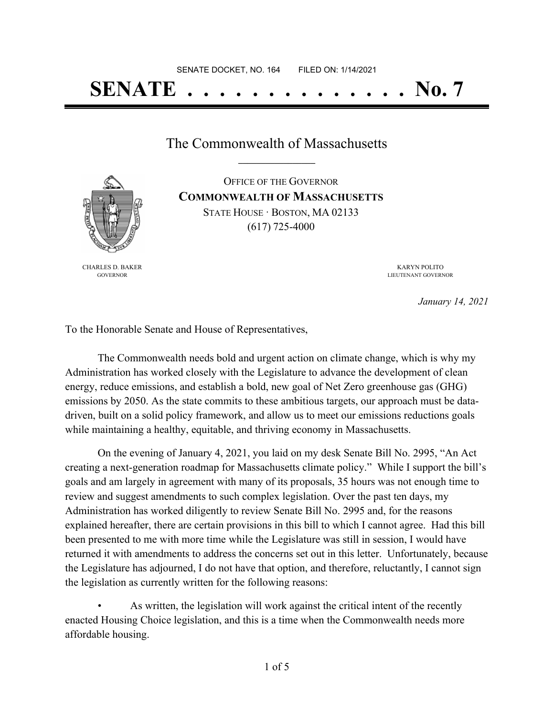The Commonwealth of Massachusetts **\_\_\_\_\_\_\_\_\_\_\_\_\_\_\_\_\_**



CHARLES D. BAKER GOVERNOR

OFFICE OF THE GOVERNOR **COMMONWEALTH OF MASSACHUSETTS** STATE HOUSE · BOSTON, MA 02133 (617) 725-4000

> KARYN POLITO LIEUTENANT GOVERNOR

> > *January 14, 2021*

To the Honorable Senate and House of Representatives,

The Commonwealth needs bold and urgent action on climate change, which is why my Administration has worked closely with the Legislature to advance the development of clean energy, reduce emissions, and establish a bold, new goal of Net Zero greenhouse gas (GHG) emissions by 2050. As the state commits to these ambitious targets, our approach must be datadriven, built on a solid policy framework, and allow us to meet our emissions reductions goals while maintaining a healthy, equitable, and thriving economy in Massachusetts.

On the evening of January 4, 2021, you laid on my desk Senate Bill No. 2995, "An Act creating a next-generation roadmap for Massachusetts climate policy." While I support the bill's goals and am largely in agreement with many of its proposals, 35 hours was not enough time to review and suggest amendments to such complex legislation. Over the past ten days, my Administration has worked diligently to review Senate Bill No. 2995 and, for the reasons explained hereafter, there are certain provisions in this bill to which I cannot agree. Had this bill been presented to me with more time while the Legislature was still in session, I would have returned it with amendments to address the concerns set out in this letter. Unfortunately, because the Legislature has adjourned, I do not have that option, and therefore, reluctantly, I cannot sign the legislation as currently written for the following reasons:

As written, the legislation will work against the critical intent of the recently enacted Housing Choice legislation, and this is a time when the Commonwealth needs more affordable housing.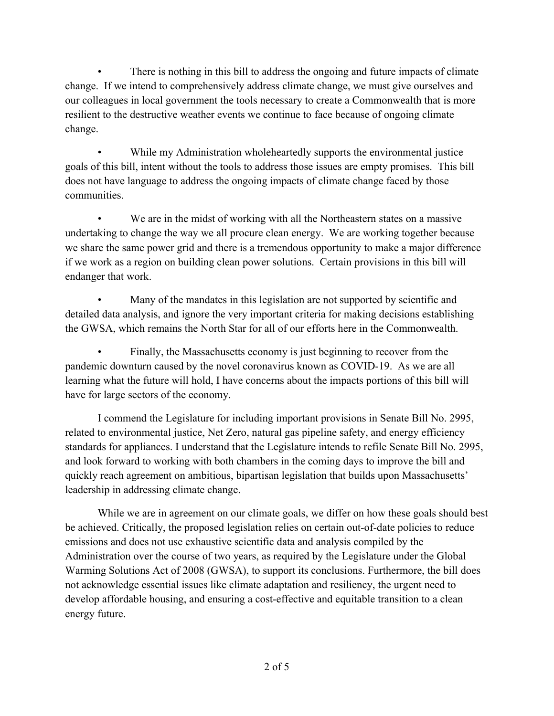There is nothing in this bill to address the ongoing and future impacts of climate change. If we intend to comprehensively address climate change, we must give ourselves and our colleagues in local government the tools necessary to create a Commonwealth that is more resilient to the destructive weather events we continue to face because of ongoing climate change.

While my Administration wholeheartedly supports the environmental justice goals of this bill, intent without the tools to address those issues are empty promises. This bill does not have language to address the ongoing impacts of climate change faced by those communities.

We are in the midst of working with all the Northeastern states on a massive undertaking to change the way we all procure clean energy. We are working together because we share the same power grid and there is a tremendous opportunity to make a major difference if we work as a region on building clean power solutions. Certain provisions in this bill will endanger that work.

Many of the mandates in this legislation are not supported by scientific and detailed data analysis, and ignore the very important criteria for making decisions establishing the GWSA, which remains the North Star for all of our efforts here in the Commonwealth.

Finally, the Massachusetts economy is just beginning to recover from the pandemic downturn caused by the novel coronavirus known as COVID-19. As we are all learning what the future will hold, I have concerns about the impacts portions of this bill will have for large sectors of the economy.

I commend the Legislature for including important provisions in Senate Bill No. 2995, related to environmental justice, Net Zero, natural gas pipeline safety, and energy efficiency standards for appliances. I understand that the Legislature intends to refile Senate Bill No. 2995, and look forward to working with both chambers in the coming days to improve the bill and quickly reach agreement on ambitious, bipartisan legislation that builds upon Massachusetts' leadership in addressing climate change.

While we are in agreement on our climate goals, we differ on how these goals should best be achieved. Critically, the proposed legislation relies on certain out-of-date policies to reduce emissions and does not use exhaustive scientific data and analysis compiled by the Administration over the course of two years, as required by the Legislature under the Global Warming Solutions Act of 2008 (GWSA), to support its conclusions. Furthermore, the bill does not acknowledge essential issues like climate adaptation and resiliency, the urgent need to develop affordable housing, and ensuring a cost-effective and equitable transition to a clean energy future.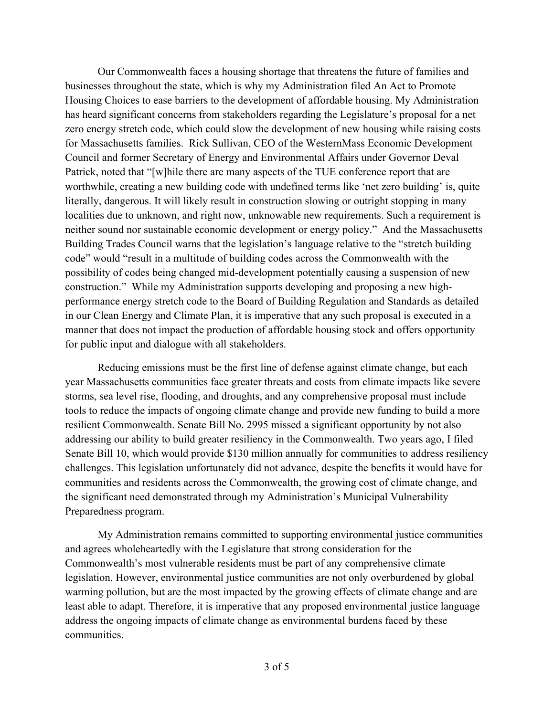Our Commonwealth faces a housing shortage that threatens the future of families and businesses throughout the state, which is why my Administration filed An Act to Promote Housing Choices to ease barriers to the development of affordable housing. My Administration has heard significant concerns from stakeholders regarding the Legislature's proposal for a net zero energy stretch code, which could slow the development of new housing while raising costs for Massachusetts families. Rick Sullivan, CEO of the WesternMass Economic Development Council and former Secretary of Energy and Environmental Affairs under Governor Deval Patrick, noted that "[w]hile there are many aspects of the TUE conference report that are worthwhile, creating a new building code with undefined terms like 'net zero building' is, quite literally, dangerous. It will likely result in construction slowing or outright stopping in many localities due to unknown, and right now, unknowable new requirements. Such a requirement is neither sound nor sustainable economic development or energy policy." And the Massachusetts Building Trades Council warns that the legislation's language relative to the "stretch building code" would "result in a multitude of building codes across the Commonwealth with the possibility of codes being changed mid-development potentially causing a suspension of new construction." While my Administration supports developing and proposing a new highperformance energy stretch code to the Board of Building Regulation and Standards as detailed in our Clean Energy and Climate Plan, it is imperative that any such proposal is executed in a manner that does not impact the production of affordable housing stock and offers opportunity for public input and dialogue with all stakeholders.

Reducing emissions must be the first line of defense against climate change, but each year Massachusetts communities face greater threats and costs from climate impacts like severe storms, sea level rise, flooding, and droughts, and any comprehensive proposal must include tools to reduce the impacts of ongoing climate change and provide new funding to build a more resilient Commonwealth. Senate Bill No. 2995 missed a significant opportunity by not also addressing our ability to build greater resiliency in the Commonwealth. Two years ago, I filed Senate Bill 10, which would provide \$130 million annually for communities to address resiliency challenges. This legislation unfortunately did not advance, despite the benefits it would have for communities and residents across the Commonwealth, the growing cost of climate change, and the significant need demonstrated through my Administration's Municipal Vulnerability Preparedness program.

My Administration remains committed to supporting environmental justice communities and agrees wholeheartedly with the Legislature that strong consideration for the Commonwealth's most vulnerable residents must be part of any comprehensive climate legislation. However, environmental justice communities are not only overburdened by global warming pollution, but are the most impacted by the growing effects of climate change and are least able to adapt. Therefore, it is imperative that any proposed environmental justice language address the ongoing impacts of climate change as environmental burdens faced by these communities.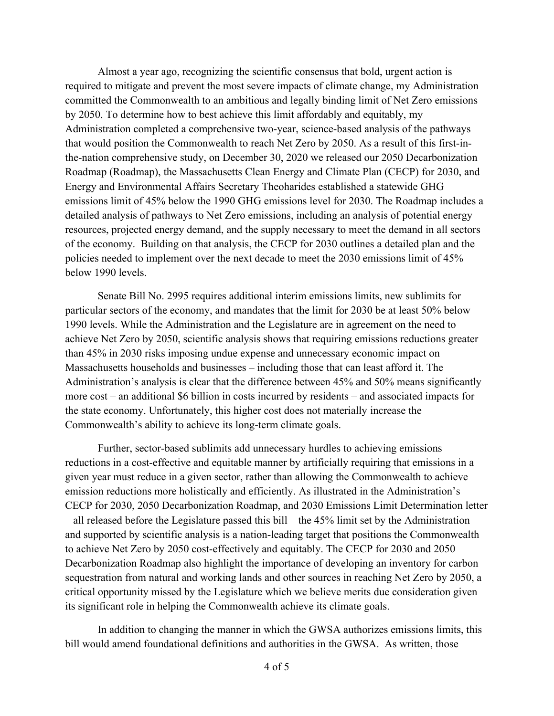Almost a year ago, recognizing the scientific consensus that bold, urgent action is required to mitigate and prevent the most severe impacts of climate change, my Administration committed the Commonwealth to an ambitious and legally binding limit of Net Zero emissions by 2050. To determine how to best achieve this limit affordably and equitably, my Administration completed a comprehensive two-year, science-based analysis of the pathways that would position the Commonwealth to reach Net Zero by 2050. As a result of this first-inthe-nation comprehensive study, on December 30, 2020 we released our 2050 Decarbonization Roadmap (Roadmap), the Massachusetts Clean Energy and Climate Plan (CECP) for 2030, and Energy and Environmental Affairs Secretary Theoharides established a statewide GHG emissions limit of 45% below the 1990 GHG emissions level for 2030. The Roadmap includes a detailed analysis of pathways to Net Zero emissions, including an analysis of potential energy resources, projected energy demand, and the supply necessary to meet the demand in all sectors of the economy. Building on that analysis, the CECP for 2030 outlines a detailed plan and the policies needed to implement over the next decade to meet the 2030 emissions limit of 45% below 1990 levels.

Senate Bill No. 2995 requires additional interim emissions limits, new sublimits for particular sectors of the economy, and mandates that the limit for 2030 be at least 50% below 1990 levels. While the Administration and the Legislature are in agreement on the need to achieve Net Zero by 2050, scientific analysis shows that requiring emissions reductions greater than 45% in 2030 risks imposing undue expense and unnecessary economic impact on Massachusetts households and businesses – including those that can least afford it. The Administration's analysis is clear that the difference between 45% and 50% means significantly more cost – an additional \$6 billion in costs incurred by residents – and associated impacts for the state economy. Unfortunately, this higher cost does not materially increase the Commonwealth's ability to achieve its long-term climate goals.

Further, sector-based sublimits add unnecessary hurdles to achieving emissions reductions in a cost-effective and equitable manner by artificially requiring that emissions in a given year must reduce in a given sector, rather than allowing the Commonwealth to achieve emission reductions more holistically and efficiently. As illustrated in the Administration's CECP for 2030, 2050 Decarbonization Roadmap, and 2030 Emissions Limit Determination letter – all released before the Legislature passed this bill – the 45% limit set by the Administration and supported by scientific analysis is a nation-leading target that positions the Commonwealth to achieve Net Zero by 2050 cost-effectively and equitably. The CECP for 2030 and 2050 Decarbonization Roadmap also highlight the importance of developing an inventory for carbon sequestration from natural and working lands and other sources in reaching Net Zero by 2050, a critical opportunity missed by the Legislature which we believe merits due consideration given its significant role in helping the Commonwealth achieve its climate goals.

In addition to changing the manner in which the GWSA authorizes emissions limits, this bill would amend foundational definitions and authorities in the GWSA. As written, those